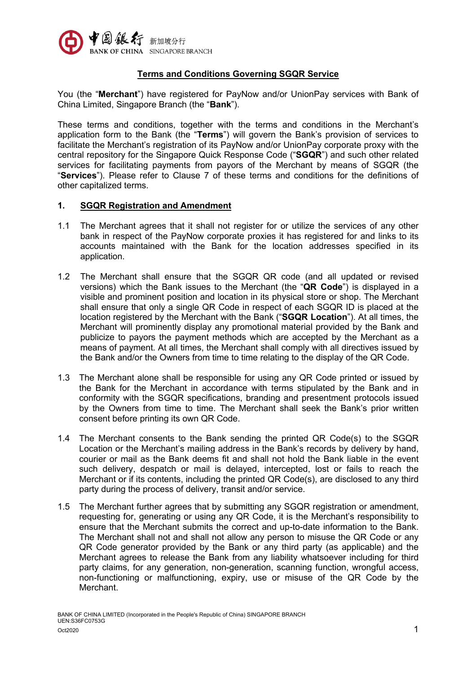

### **Terms and Conditions Governing SGQR Service**

You (the "Merchant") have registered for PayNow and/or UnionPay services with Bank of China Limited, Singapore Branch (the "**Bank**").

These terms and conditions, together with the terms and conditions in the Merchant's application form to the Bank (the "**Terms**") will govern the Bank's provision of services to facilitate the Merchant's registration of its PayNow and/or UnionPay corporate proxy with the central repository for the Singapore Quick Response Code ("**SGQR**") and such other related services for facilitating payments from payors of the Merchant by means of SGQR (the "**Services**"). Please refer to Clause 7 of these terms and conditions for the definitions of other capitalized terms.

#### **1. SGQR Registration and Amendment**

- 1.1 The Merchant agrees that it shall not register for or utilize the services of any other bank in respect of the PayNow corporate proxies it has registered for and links to its accounts maintained with the Bank for the location addresses specified in its application.
- 1.2 The Merchant shall ensure that the SGQR QR code (and all updated or revised versions) which the Bank issues to the Merchant (the "**QR Code**") is displayed in a visible and prominent position and location in its physical store or shop. The Merchant shall ensure that only a single QR Code in respect of each SGQR ID is placed at the location registered by the Merchant with the Bank ("**SGQR Location**"). At all times, the Merchant will prominently display any promotional material provided by the Bank and publicize to payors the payment methods which are accepted by the Merchant as a means of payment. At all times, the Merchant shall comply with all directives issued by the Bank and/or the Owners from time to time relating to the display of the QR Code.
- 1.3 The Merchant alone shall be responsible for using any QR Code printed or issued by the Bank for the Merchant in accordance with terms stipulated by the Bank and in conformity with the SGQR specifications, branding and presentment protocols issued by the Owners from time to time. The Merchant shall seek the Bank's prior written consent before printing its own QR Code.
- 1.4 The Merchant consents to the Bank sending the printed QR Code(s) to the SGQR Location or the Merchant's mailing address in the Bank's records by delivery by hand, courier or mail as the Bank deems fit and shall not hold the Bank liable in the event such delivery, despatch or mail is delayed, intercepted, lost or fails to reach the Merchant or if its contents, including the printed QR Code(s), are disclosed to any third party during the process of delivery, transit and/or service.
- 1.5 The Merchant further agrees that by submitting any SGQR registration or amendment, requesting for, generating or using any QR Code, it is the Merchant's responsibility to ensure that the Merchant submits the correct and up-to-date information to the Bank. The Merchant shall not and shall not allow any person to misuse the QR Code or any QR Code generator provided by the Bank or any third party (as applicable) and the Merchant agrees to release the Bank from any liability whatsoever including for third party claims, for any generation, non-generation, scanning function, wrongful access, non-functioning or malfunctioning, expiry, use or misuse of the QR Code by the Merchant.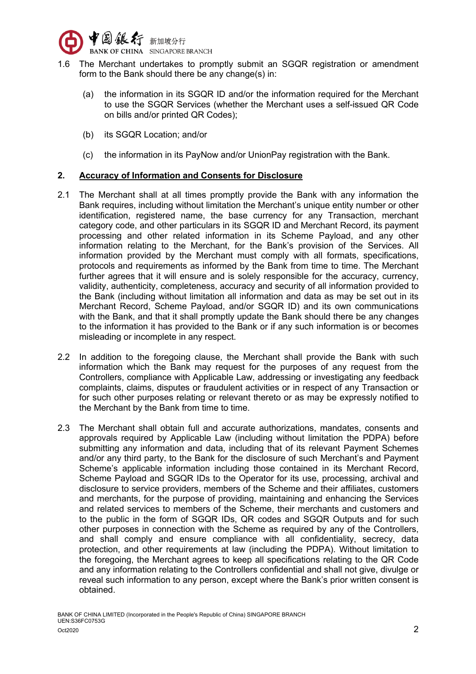

- 1.6 The Merchant undertakes to promptly submit an SGQR registration or amendment form to the Bank should there be any change(s) in:
	- (a) the information in its SGQR ID and/or the information required for the Merchant to use the SGQR Services (whether the Merchant uses a self-issued QR Code on bills and/or printed QR Codes);
	- (b) its SGQR Location; and/or
	- (c) the information in its PayNow and/or UnionPay registration with the Bank.

# **2. Accuracy of Information and Consents for Disclosure**

- 2.1 The Merchant shall at all times promptly provide the Bank with any information the Bank requires, including without limitation the Merchant's unique entity number or other identification, registered name, the base currency for any Transaction, merchant category code, and other particulars in its SGQR ID and Merchant Record, its payment processing and other related information in its Scheme Payload, and any other information relating to the Merchant, for the Bank's provision of the Services. All information provided by the Merchant must comply with all formats, specifications, protocols and requirements as informed by the Bank from time to time. The Merchant further agrees that it will ensure and is solely responsible for the accuracy, currency, validity, authenticity, completeness, accuracy and security of all information provided to the Bank (including without limitation all information and data as may be set out in its Merchant Record, Scheme Payload, and/or SGQR ID) and its own communications with the Bank, and that it shall promptly update the Bank should there be any changes to the information it has provided to the Bank or if any such information is or becomes misleading or incomplete in any respect.
- 2.2 In addition to the foregoing clause, the Merchant shall provide the Bank with such information which the Bank may request for the purposes of any request from the Controllers, compliance with Applicable Law, addressing or investigating any feedback complaints, claims, disputes or fraudulent activities or in respect of any Transaction or for such other purposes relating or relevant thereto or as may be expressly notified to the Merchant by the Bank from time to time.
- 2.3 The Merchant shall obtain full and accurate authorizations, mandates, consents and approvals required by Applicable Law (including without limitation the PDPA) before submitting any information and data, including that of its relevant Payment Schemes and/or any third party, to the Bank for the disclosure of such Merchant's and Payment Scheme's applicable information including those contained in its Merchant Record, Scheme Payload and SGQR IDs to the Operator for its use, processing, archival and disclosure to service providers, members of the Scheme and their affiliates, customers and merchants, for the purpose of providing, maintaining and enhancing the Services and related services to members of the Scheme, their merchants and customers and to the public in the form of SGQR IDs, QR codes and SGQR Outputs and for such other purposes in connection with the Scheme as required by any of the Controllers, and shall comply and ensure compliance with all confidentiality, secrecy, data protection, and other requirements at law (including the PDPA). Without limitation to the foregoing, the Merchant agrees to keep all specifications relating to the QR Code and any information relating to the Controllers confidential and shall not give, divulge or reveal such information to any person, except where the Bank's prior written consent is obtained.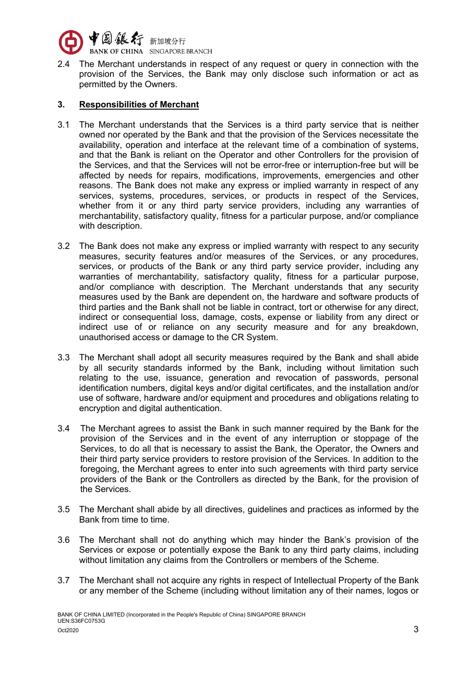

2.4 The Merchant understands in respect of any request or query in connection with the provision of the Services, the Bank may only disclose such information or act as permitted by the Owners.

### **3. Responsibilities of Merchant**

- 3.1 The Merchant understands that the Services is a third party service that is neither owned nor operated by the Bank and that the provision of the Services necessitate the availability, operation and interface at the relevant time of a combination of systems, and that the Bank is reliant on the Operator and other Controllers for the provision of the Services, and that the Services will not be error-free or interruption-free but will be affected by needs for repairs, modifications, improvements, emergencies and other reasons. The Bank does not make any express or implied warranty in respect of any services, systems, procedures, services, or products in respect of the Services, whether from it or any third party service providers, including any warranties of merchantability, satisfactory quality, fitness for a particular purpose, and/or compliance with description.
- 3.2 The Bank does not make any express or implied warranty with respect to any security measures, security features and/or measures of the Services, or any procedures, services, or products of the Bank or any third party service provider, including any warranties of merchantability, satisfactory quality, fitness for a particular purpose, and/or compliance with description. The Merchant understands that any security measures used by the Bank are dependent on, the hardware and software products of third parties and the Bank shall not be liable in contract, tort or otherwise for any direct, indirect or consequential loss, damage, costs, expense or liability from any direct or indirect use of or reliance on any security measure and for any breakdown, unauthorised access or damage to the CR System.
- 3.3 The Merchant shall adopt all security measures required by the Bank and shall abide by all security standards informed by the Bank, including without limitation such relating to the use, issuance, generation and revocation of passwords, personal identification numbers, digital keys and/or digital certificates, and the installation and/or use of software, hardware and/or equipment and procedures and obligations relating to encryption and digital authentication.
- 3.4 The Merchant agrees to assist the Bank in such manner required by the Bank for the provision of the Services and in the event of any interruption or stoppage of the Services, to do all that is necessary to assist the Bank, the Operator, the Owners and their third party service providers to restore provision of the Services. In addition to the foregoing, the Merchant agrees to enter into such agreements with third party service providers of the Bank or the Controllers as directed by the Bank, for the provision of the Services.
- 3.5 The Merchant shall abide by all directives, guidelines and practices as informed by the Bank from time to time.
- 3.6 The Merchant shall not do anything which may hinder the Bank's provision of the Services or expose or potentially expose the Bank to any third party claims, including without limitation any claims from the Controllers or members of the Scheme.
- 3.7 The Merchant shall not acquire any rights in respect of Intellectual Property of the Bank or any member of the Scheme (including without limitation any of their names, logos or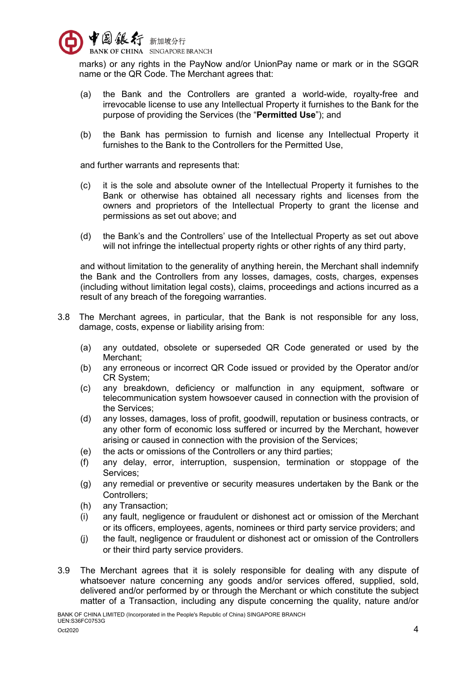

marks) or any rights in the PayNow and/or UnionPay name or mark or in the SGQR name or the QR Code. The Merchant agrees that:

- (a) the Bank and the Controllers are granted a world-wide, royalty-free and irrevocable license to use any Intellectual Property it furnishes to the Bank for the purpose of providing the Services (the "**Permitted Use**"); and
- (b) the Bank has permission to furnish and license any Intellectual Property it furnishes to the Bank to the Controllers for the Permitted Use,

and further warrants and represents that:

- (c) it is the sole and absolute owner of the Intellectual Property it furnishes to the Bank or otherwise has obtained all necessary rights and licenses from the owners and proprietors of the Intellectual Property to grant the license and permissions as set out above; and
- (d) the Bank's and the Controllers' use of the Intellectual Property as set out above will not infringe the intellectual property rights or other rights of any third party,

and without limitation to the generality of anything herein, the Merchant shall indemnify the Bank and the Controllers from any losses, damages, costs, charges, expenses (including without limitation legal costs), claims, proceedings and actions incurred as a result of any breach of the foregoing warranties.

- 3.8 The Merchant agrees, in particular, that the Bank is not responsible for any loss, damage, costs, expense or liability arising from:
	- (a) any outdated, obsolete or superseded QR Code generated or used by the Merchant;
	- (b) any erroneous or incorrect QR Code issued or provided by the Operator and/or CR System;
	- (c) any breakdown, deficiency or malfunction in any equipment, software or telecommunication system howsoever caused in connection with the provision of the Services;
	- (d) any losses, damages, loss of profit, goodwill, reputation or business contracts, or any other form of economic loss suffered or incurred by the Merchant, however arising or caused in connection with the provision of the Services;
	- (e) the acts or omissions of the Controllers or any third parties;
	- (f) any delay, error, interruption, suspension, termination or stoppage of the Services;
	- (g) any remedial or preventive or security measures undertaken by the Bank or the Controllers;
	- (h) any Transaction;
	- (i) any fault, negligence or fraudulent or dishonest act or omission of the Merchant or its officers, employees, agents, nominees or third party service providers; and
	- (j) the fault, negligence or fraudulent or dishonest act or omission of the Controllers or their third party service providers.
- 3.9 The Merchant agrees that it is solely responsible for dealing with any dispute of whatsoever nature concerning any goods and/or services offered, supplied, sold, delivered and/or performed by or through the Merchant or which constitute the subject matter of a Transaction, including any dispute concerning the quality, nature and/or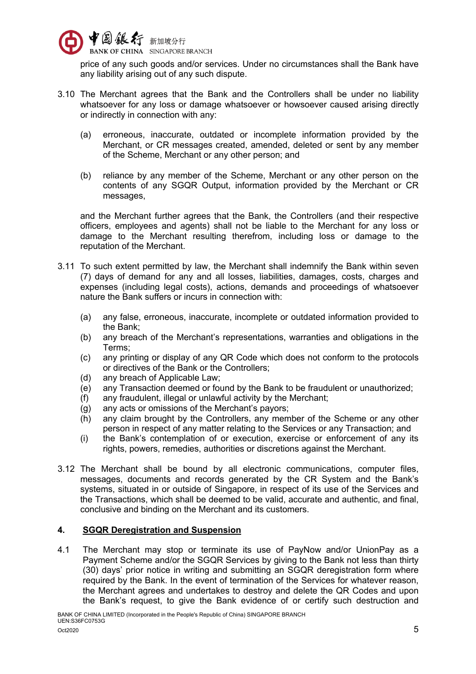

price of any such goods and/or services. Under no circumstances shall the Bank have any liability arising out of any such dispute.

- 3.10 The Merchant agrees that the Bank and the Controllers shall be under no liability whatsoever for any loss or damage whatsoever or howsoever caused arising directly or indirectly in connection with any:
	- (a) erroneous, inaccurate, outdated or incomplete information provided by the Merchant, or CR messages created, amended, deleted or sent by any member of the Scheme, Merchant or any other person; and
	- (b) reliance by any member of the Scheme, Merchant or any other person on the contents of any SGQR Output, information provided by the Merchant or CR messages,

and the Merchant further agrees that the Bank, the Controllers (and their respective officers, employees and agents) shall not be liable to the Merchant for any loss or damage to the Merchant resulting therefrom, including loss or damage to the reputation of the Merchant.

- 3.11 To such extent permitted by law, the Merchant shall indemnify the Bank within seven (7) days of demand for any and all losses, liabilities, damages, costs, charges and expenses (including legal costs), actions, demands and proceedings of whatsoever nature the Bank suffers or incurs in connection with:
	- (a) any false, erroneous, inaccurate, incomplete or outdated information provided to the Bank;
	- (b) any breach of the Merchant's representations, warranties and obligations in the Terms;
	- (c) any printing or display of any QR Code which does not conform to the protocols or directives of the Bank or the Controllers;
	- (d) any breach of Applicable Law;
	- (e) any Transaction deemed or found by the Bank to be fraudulent or unauthorized;
	- (f) any fraudulent, illegal or unlawful activity by the Merchant;
	- (g) any acts or omissions of the Merchant's payors;
	- (h) any claim brought by the Controllers, any member of the Scheme or any other person in respect of any matter relating to the Services or any Transaction; and
	- (i) the Bank's contemplation of or execution, exercise or enforcement of any its rights, powers, remedies, authorities or discretions against the Merchant.
- 3.12 The Merchant shall be bound by all electronic communications, computer files, messages, documents and records generated by the CR System and the Bank's systems, situated in or outside of Singapore, in respect of its use of the Services and the Transactions, which shall be deemed to be valid, accurate and authentic, and final, conclusive and binding on the Merchant and its customers.

### **4. SGQR Deregistration and Suspension**

4.1 The Merchant may stop or terminate its use of PayNow and/or UnionPay as a Payment Scheme and/or the SGQR Services by giving to the Bank not less than thirty (30) days' prior notice in writing and submitting an SGQR deregistration form where required by the Bank. In the event of termination of the Services for whatever reason, the Merchant agrees and undertakes to destroy and delete the QR Codes and upon the Bank's request, to give the Bank evidence of or certify such destruction and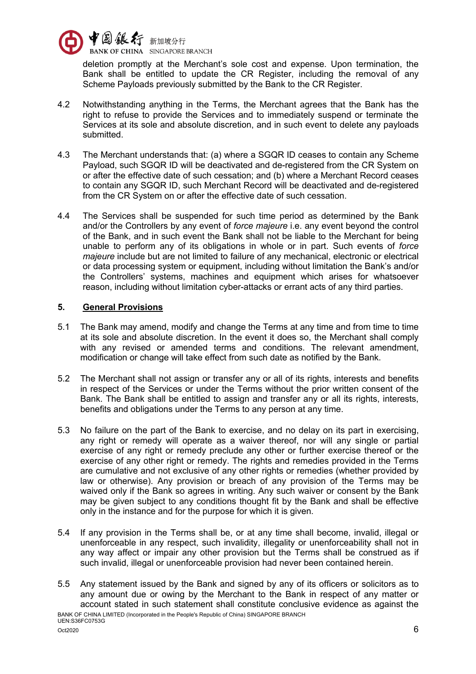

deletion promptly at the Merchant's sole cost and expense. Upon termination, the Bank shall be entitled to update the CR Register, including the removal of any Scheme Payloads previously submitted by the Bank to the CR Register.

- 4.2 Notwithstanding anything in the Terms, the Merchant agrees that the Bank has the right to refuse to provide the Services and to immediately suspend or terminate the Services at its sole and absolute discretion, and in such event to delete any payloads submitted.
- 4.3 The Merchant understands that: (a) where a SGQR ID ceases to contain any Scheme Payload, such SGQR ID will be deactivated and de-registered from the CR System on or after the effective date of such cessation; and (b) where a Merchant Record ceases to contain any SGQR ID, such Merchant Record will be deactivated and de-registered from the CR System on or after the effective date of such cessation.
- 4.4 The Services shall be suspended for such time period as determined by the Bank and/or the Controllers by any event of *force majeure* i.e. any event beyond the control of the Bank, and in such event the Bank shall not be liable to the Merchant for being unable to perform any of its obligations in whole or in part. Such events of *force majeure* include but are not limited to failure of any mechanical, electronic or electrical or data processing system or equipment, including without limitation the Bank's and/or the Controllers' systems, machines and equipment which arises for whatsoever reason, including without limitation cyber-attacks or errant acts of any third parties.

# **5. General Provisions**

- 5.1 The Bank may amend, modify and change the Terms at any time and from time to time at its sole and absolute discretion. In the event it does so, the Merchant shall comply with any revised or amended terms and conditions. The relevant amendment, modification or change will take effect from such date as notified by the Bank.
- 5.2 The Merchant shall not assign or transfer any or all of its rights, interests and benefits in respect of the Services or under the Terms without the prior written consent of the Bank. The Bank shall be entitled to assign and transfer any or all its rights, interests, benefits and obligations under the Terms to any person at any time.
- 5.3 No failure on the part of the Bank to exercise, and no delay on its part in exercising, any right or remedy will operate as a waiver thereof, nor will any single or partial exercise of any right or remedy preclude any other or further exercise thereof or the exercise of any other right or remedy. The rights and remedies provided in the Terms are cumulative and not exclusive of any other rights or remedies (whether provided by law or otherwise). Any provision or breach of any provision of the Terms may be waived only if the Bank so agrees in writing. Any such waiver or consent by the Bank may be given subject to any conditions thought fit by the Bank and shall be effective only in the instance and for the purpose for which it is given.
- 5.4 If any provision in the Terms shall be, or at any time shall become, invalid, illegal or unenforceable in any respect, such invalidity, illegality or unenforceability shall not in any way affect or impair any other provision but the Terms shall be construed as if such invalid, illegal or unenforceable provision had never been contained herein.
- BANK OF CHINA LIMITED (Incorporated in the People's Republic of China) SINGAPORE BRANCH UEN:S36FC0753G 5.5 Any statement issued by the Bank and signed by any of its officers or solicitors as to any amount due or owing by the Merchant to the Bank in respect of any matter or account stated in such statement shall constitute conclusive evidence as against the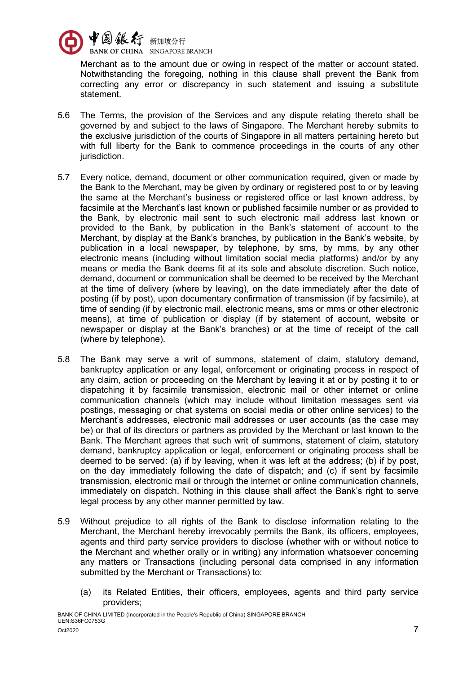

Merchant as to the amount due or owing in respect of the matter or account stated. Notwithstanding the foregoing, nothing in this clause shall prevent the Bank from correcting any error or discrepancy in such statement and issuing a substitute statement.

- 5.6 The Terms, the provision of the Services and any dispute relating thereto shall be governed by and subject to the laws of Singapore. The Merchant hereby submits to the exclusive jurisdiction of the courts of Singapore in all matters pertaining hereto but with full liberty for the Bank to commence proceedings in the courts of any other jurisdiction.
- 5.7 Every notice, demand, document or other communication required, given or made by the Bank to the Merchant, may be given by ordinary or registered post to or by leaving the same at the Merchant's business or registered office or last known address, by facsimile at the Merchant's last known or published facsimile number or as provided to the Bank, by electronic mail sent to such electronic mail address last known or provided to the Bank, by publication in the Bank's statement of account to the Merchant, by display at the Bank's branches, by publication in the Bank's website, by publication in a local newspaper, by telephone, by sms, by mms, by any other electronic means (including without limitation social media platforms) and/or by any means or media the Bank deems fit at its sole and absolute discretion. Such notice, demand, document or communication shall be deemed to be received by the Merchant at the time of delivery (where by leaving), on the date immediately after the date of posting (if by post), upon documentary confirmation of transmission (if by facsimile), at time of sending (if by electronic mail, electronic means, sms or mms or other electronic means), at time of publication or display (if by statement of account, website or newspaper or display at the Bank's branches) or at the time of receipt of the call (where by telephone).
- 5.8 The Bank may serve a writ of summons, statement of claim, statutory demand, bankruptcy application or any legal, enforcement or originating process in respect of any claim, action or proceeding on the Merchant by leaving it at or by posting it to or dispatching it by facsimile transmission, electronic mail or other internet or online communication channels (which may include without limitation messages sent via postings, messaging or chat systems on social media or other online services) to the Merchant's addresses, electronic mail addresses or user accounts (as the case may be) or that of its directors or partners as provided by the Merchant or last known to the Bank. The Merchant agrees that such writ of summons, statement of claim, statutory demand, bankruptcy application or legal, enforcement or originating process shall be deemed to be served: (a) if by leaving, when it was left at the address; (b) if by post, on the day immediately following the date of dispatch; and (c) if sent by facsimile transmission, electronic mail or through the internet or online communication channels, immediately on dispatch. Nothing in this clause shall affect the Bank's right to serve legal process by any other manner permitted by law.
- 5.9 Without prejudice to all rights of the Bank to disclose information relating to the Merchant, the Merchant hereby irrevocably permits the Bank, its officers, employees, agents and third party service providers to disclose (whether with or without notice to the Merchant and whether orally or in writing) any information whatsoever concerning any matters or Transactions (including personal data comprised in any information submitted by the Merchant or Transactions) to:
	- (a) its Related Entities, their officers, employees, agents and third party service providers;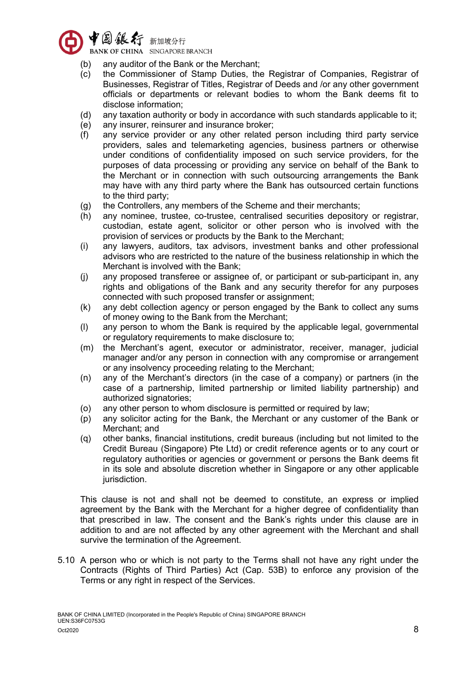

- (b) any auditor of the Bank or the Merchant;
- (c) the Commissioner of Stamp Duties, the Registrar of Companies, Registrar of Businesses, Registrar of Titles, Registrar of Deeds and /or any other government officials or departments or relevant bodies to whom the Bank deems fit to disclose information;
- (d) any taxation authority or body in accordance with such standards applicable to it;
- (e) any insurer, reinsurer and insurance broker;
- (f) any service provider or any other related person including third party service providers, sales and telemarketing agencies, business partners or otherwise under conditions of confidentiality imposed on such service providers, for the purposes of data processing or providing any service on behalf of the Bank to the Merchant or in connection with such outsourcing arrangements the Bank may have with any third party where the Bank has outsourced certain functions to the third party;
- (g) the Controllers, any members of the Scheme and their merchants;
- (h) any nominee, trustee, co-trustee, centralised securities depository or registrar, custodian, estate agent, solicitor or other person who is involved with the provision of services or products by the Bank to the Merchant;
- (i) any lawyers, auditors, tax advisors, investment banks and other professional advisors who are restricted to the nature of the business relationship in which the Merchant is involved with the Bank;
- (j) any proposed transferee or assignee of, or participant or sub-participant in, any rights and obligations of the Bank and any security therefor for any purposes connected with such proposed transfer or assignment;
- (k) any debt collection agency or person engaged by the Bank to collect any sums of money owing to the Bank from the Merchant;
- (l) any person to whom the Bank is required by the applicable legal, governmental or regulatory requirements to make disclosure to;
- (m) the Merchant's agent, executor or administrator, receiver, manager, judicial manager and/or any person in connection with any compromise or arrangement or any insolvency proceeding relating to the Merchant;
- (n) any of the Merchant's directors (in the case of a company) or partners (in the case of a partnership, limited partnership or limited liability partnership) and authorized signatories;
- (o) any other person to whom disclosure is permitted or required by law;
- (p) any solicitor acting for the Bank, the Merchant or any customer of the Bank or Merchant; and
- (q) other banks, financial institutions, credit bureaus (including but not limited to the Credit Bureau (Singapore) Pte Ltd) or credit reference agents or to any court or regulatory authorities or agencies or government or persons the Bank deems fit in its sole and absolute discretion whether in Singapore or any other applicable jurisdiction.

This clause is not and shall not be deemed to constitute, an express or implied agreement by the Bank with the Merchant for a higher degree of confidentiality than that prescribed in law. The consent and the Bank's rights under this clause are in addition to and are not affected by any other agreement with the Merchant and shall survive the termination of the Agreement.

5.10 A person who or which is not party to the Terms shall not have any right under the Contracts (Rights of Third Parties) Act (Cap. 53B) to enforce any provision of the Terms or any right in respect of the Services.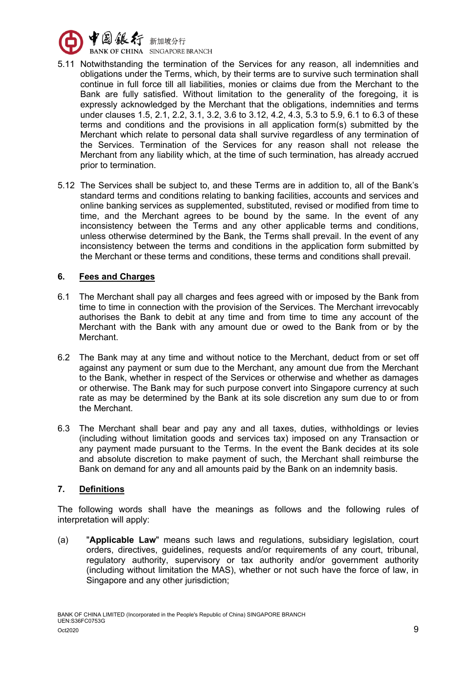

- 5.11 Notwithstanding the termination of the Services for any reason, all indemnities and obligations under the Terms, which, by their terms are to survive such termination shall continue in full force till all liabilities, monies or claims due from the Merchant to the Bank are fully satisfied. Without limitation to the generality of the foregoing, it is expressly acknowledged by the Merchant that the obligations, indemnities and terms under clauses 1.5, 2.1, 2.2, 3.1, 3.2, 3.6 to 3.12, 4.2, 4.3, 5.3 to 5.9, 6.1 to 6.3 of these terms and conditions and the provisions in all application form(s) submitted by the Merchant which relate to personal data shall survive regardless of any termination of the Services. Termination of the Services for any reason shall not release the Merchant from any liability which, at the time of such termination, has already accrued prior to termination.
- 5.12 The Services shall be subject to, and these Terms are in addition to, all of the Bank's standard terms and conditions relating to banking facilities, accounts and services and online banking services as supplemented, substituted, revised or modified from time to time, and the Merchant agrees to be bound by the same. In the event of any inconsistency between the Terms and any other applicable terms and conditions, unless otherwise determined by the Bank, the Terms shall prevail. In the event of any inconsistency between the terms and conditions in the application form submitted by the Merchant or these terms and conditions, these terms and conditions shall prevail.

# **6. Fees and Charges**

- 6.1 The Merchant shall pay all charges and fees agreed with or imposed by the Bank from time to time in connection with the provision of the Services. The Merchant irrevocably authorises the Bank to debit at any time and from time to time any account of the Merchant with the Bank with any amount due or owed to the Bank from or by the Merchant.
- 6.2 The Bank may at any time and without notice to the Merchant, deduct from or set off against any payment or sum due to the Merchant, any amount due from the Merchant to the Bank, whether in respect of the Services or otherwise and whether as damages or otherwise. The Bank may for such purpose convert into Singapore currency at such rate as may be determined by the Bank at its sole discretion any sum due to or from the Merchant.
- 6.3 The Merchant shall bear and pay any and all taxes, duties, withholdings or levies (including without limitation goods and services tax) imposed on any Transaction or any payment made pursuant to the Terms. In the event the Bank decides at its sole and absolute discretion to make payment of such, the Merchant shall reimburse the Bank on demand for any and all amounts paid by the Bank on an indemnity basis.

# **7. Definitions**

The following words shall have the meanings as follows and the following rules of interpretation will apply:

(a) "**Applicable Law**" means such laws and regulations, subsidiary legislation, court orders, directives, guidelines, requests and/or requirements of any court, tribunal, regulatory authority, supervisory or tax authority and/or government authority (including without limitation the MAS), whether or not such have the force of law, in Singapore and any other jurisdiction;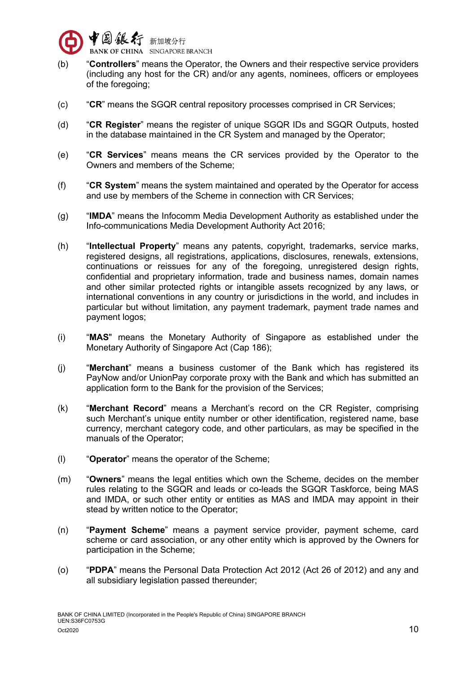

- (b) "**Controllers**" means the Operator, the Owners and their respective service providers (including any host for the CR) and/or any agents, nominees, officers or employees of the foregoing;
- (c) "**CR**" means the SGQR central repository processes comprised in CR Services;
- (d) "**CR Register**" means the register of unique SGQR IDs and SGQR Outputs, hosted in the database maintained in the CR System and managed by the Operator;
- (e) "**CR Services**" means means the CR services provided by the Operator to the Owners and members of the Scheme;
- (f) "**CR System**" means the system maintained and operated by the Operator for access and use by members of the Scheme in connection with CR Services;
- (g) "**IMDA**" means the Infocomm Media Development Authority as established under the Info-communications Media Development Authority Act 2016;
- (h) "**Intellectual Property**" means any patents, copyright, trademarks, service marks, registered designs, all registrations, applications, disclosures, renewals, extensions, continuations or reissues for any of the foregoing, unregistered design rights, confidential and proprietary information, trade and business names, domain names and other similar protected rights or intangible assets recognized by any laws, or international conventions in any country or jurisdictions in the world, and includes in particular but without limitation, any payment trademark, payment trade names and payment logos;
- (i) "**MAS**" means the Monetary Authority of Singapore as established under the Monetary Authority of Singapore Act (Cap 186);
- (j) "**Merchant**" means a business customer of the Bank which has registered its PayNow and/or UnionPay corporate proxy with the Bank and which has submitted an application form to the Bank for the provision of the Services;
- (k) "**Merchant Record**" means a Merchant's record on the CR Register, comprising such Merchant's unique entity number or other identification, registered name, base currency, merchant category code, and other particulars, as may be specified in the manuals of the Operator;
- (l) "**Operator**" means the operator of the Scheme;
- (m) "**Owners**" means the legal entities which own the Scheme, decides on the member rules relating to the SGQR and leads or co-leads the SGQR Taskforce, being MAS and IMDA, or such other entity or entities as MAS and IMDA may appoint in their stead by written notice to the Operator;
- (n) "**Payment Scheme**" means a payment service provider, payment scheme, card scheme or card association, or any other entity which is approved by the Owners for participation in the Scheme;
- (o) "**PDPA**" means the Personal Data Protection Act 2012 (Act 26 of 2012) and any and all subsidiary legislation passed thereunder;